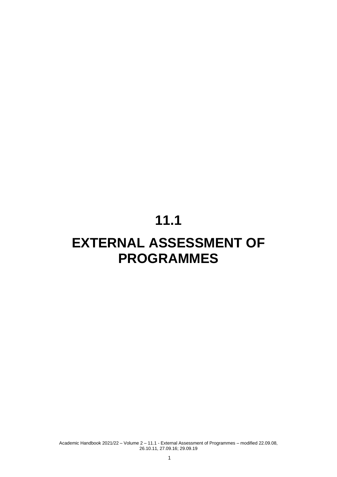# **11.1**

# **EXTERNAL ASSESSMENT OF PROGRAMMES**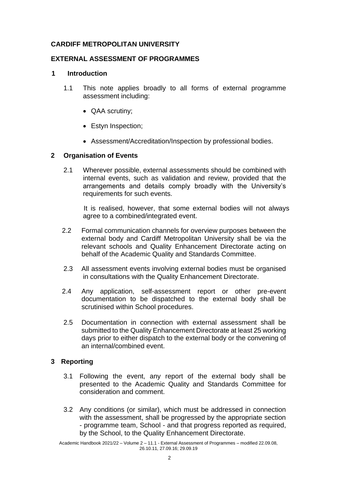## **CARDIFF METROPOLITAN UNIVERSITY**

## **EXTERNAL ASSESSMENT OF PROGRAMMES**

#### **1 Introduction**

- 1.1 This note applies broadly to all forms of external programme assessment including:
	- QAA scrutiny;
	- Estyn Inspection;
	- Assessment/Accreditation/Inspection by professional bodies.

## **2 Organisation of Events**

2.1 Wherever possible, external assessments should be combined with internal events, such as validation and review, provided that the arrangements and details comply broadly with the University's requirements for such events.

It is realised, however, that some external bodies will not always agree to a combined/integrated event.

- 2.2 Formal communication channels for overview purposes between the external body and Cardiff Metropolitan University shall be via the relevant schools and Quality Enhancement Directorate acting on behalf of the Academic Quality and Standards Committee.
- 2.3 All assessment events involving external bodies must be organised in consultations with the Quality Enhancement Directorate.
- 2.4 Any application, self-assessment report or other pre-event documentation to be dispatched to the external body shall be scrutinised within School procedures.
- 2.5 Documentation in connection with external assessment shall be submitted to the Quality Enhancement Directorate at least 25 working days prior to either dispatch to the external body or the convening of an internal/combined event.

#### **3 Reporting**

- 3.1 Following the event, any report of the external body shall be presented to the Academic Quality and Standards Committee for consideration and comment.
- 3.2 Any conditions (or similar), which must be addressed in connection with the assessment, shall be progressed by the appropriate section - programme team, School - and that progress reported as required, by the School, to the Quality Enhancement Directorate.

Academic Handbook 2021/22 – Volume 2 – 11.1 - External Assessment of Programmes – modified 22.09.08, 26.10.11, 27.09.16; 29.09.19